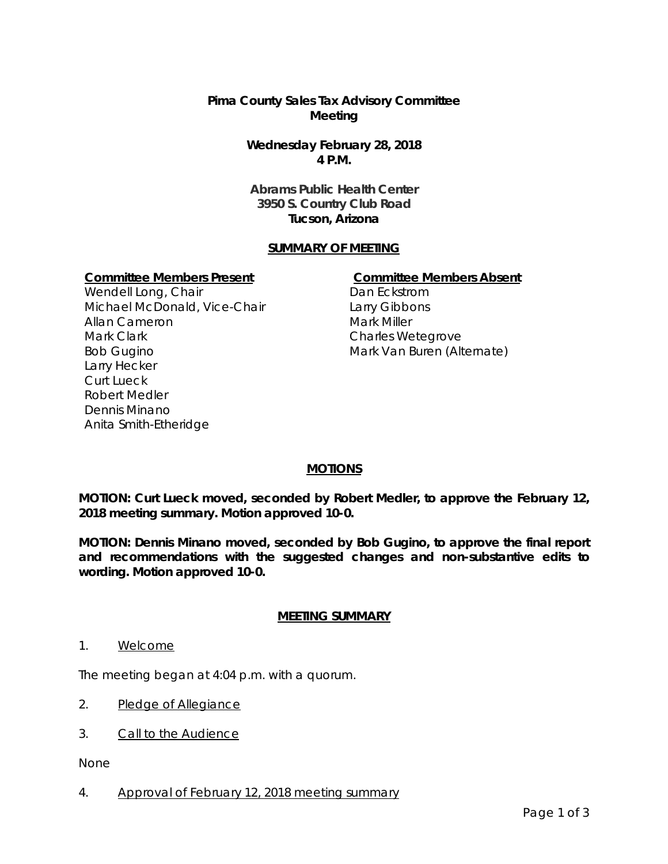# **Pima County Sales Tax Advisory Committee Meeting**

**Wednesday February 28, 2018 4 P.M.**

**Abrams Public Health Center 3950 S. Country Club Road Tucson, Arizona**

# **SUMMARY OF MEETING**

### **Committee Members Present Committee Members Absent**

Wendell Long, Chair Michael McDonald, Vice-Chair Allan Cameron Mark Clark Bob Gugino Larry Hecker Curt Lueck Robert Medler Dennis Minano Anita Smith-Etheridge

Dan Eckstrom Larry Gibbons Mark Miller Charles Wetegrove Mark Van Buren (Alternate)

# **MOTIONS**

**MOTION: Curt Lueck moved, seconded by Robert Medler, to approve the February 12, 2018 meeting summary. Motion approved 10-0.** 

**MOTION: Dennis Minano moved, seconded by Bob Gugino, to approve the final report and recommendations with the suggested changes and non-substantive edits to wording. Motion approved 10-0.** 

### **MEETING SUMMARY**

1. Welcome

The meeting began at 4:04 p.m. with a quorum.

- 2. Pledge of Allegiance
- 3. Call to the Audience

None

4. Approval of February 12, 2018 meeting summary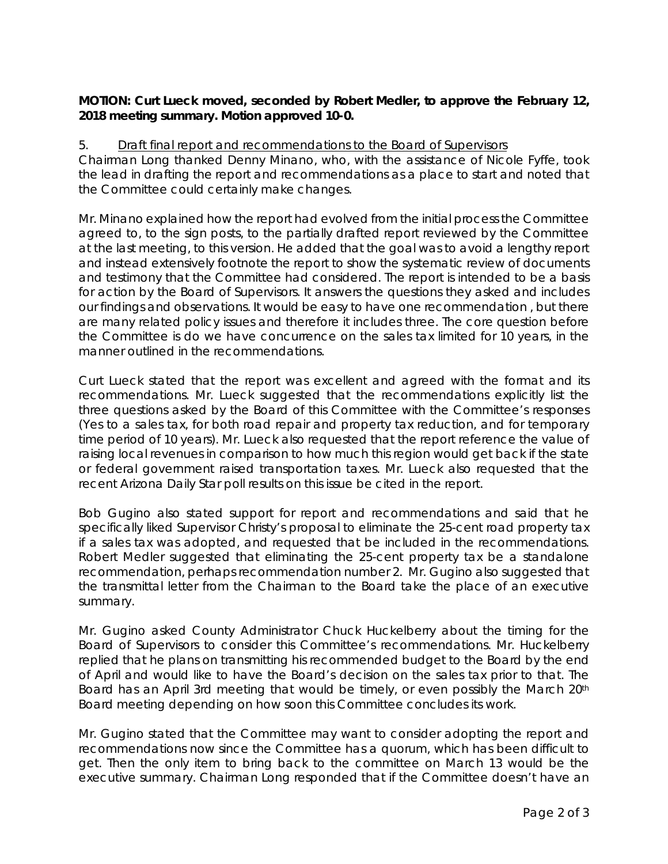# **MOTION: Curt Lueck moved, seconded by Robert Medler, to approve the February 12, 2018 meeting summary. Motion approved 10-0.**

# 5. Draft final report and recommendations to the Board of Supervisors

Chairman Long thanked Denny Minano, who, with the assistance of Nicole Fyffe, took the lead in drafting the report and recommendations as a place to start and noted that the Committee could certainly make changes.

Mr. Minano explained how the report had evolved from the initial process the Committee agreed to, to the sign posts, to the partially drafted report reviewed by the Committee at the last meeting, to this version. He added that the goal was to avoid a lengthy report and instead extensively footnote the report to show the systematic review of documents and testimony that the Committee had considered. The report is intended to be a basis for action by the Board of Supervisors. It answers the questions they asked and includes our findings and observations. It would be easy to have one recommendation , but there are many related policy issues and therefore it includes three. The core question before the Committee is do we have concurrence on the sales tax limited for 10 years, in the manner outlined in the recommendations.

Curt Lueck stated that the report was excellent and agreed with the format and its recommendations. Mr. Lueck suggested that the recommendations explicitly list the three questions asked by the Board of this Committee with the Committee's responses (Yes to a sales tax, for both road repair and property tax reduction, and for temporary time period of 10 years). Mr. Lueck also requested that the report reference the value of raising local revenues in comparison to how much this region would get back if the state or federal government raised transportation taxes. Mr. Lueck also requested that the recent Arizona Daily Star poll results on this issue be cited in the report.

Bob Gugino also stated support for report and recommendations and said that he specifically liked Supervisor Christy's proposal to eliminate the 25-cent road property tax if a sales tax was adopted, and requested that be included in the recommendations. Robert Medler suggested that eliminating the 25-cent property tax be a standalone recommendation, perhaps recommendation number 2. Mr. Gugino also suggested that the transmittal letter from the Chairman to the Board take the place of an executive summary.

Mr. Gugino asked County Administrator Chuck Huckelberry about the timing for the Board of Supervisors to consider this Committee's recommendations. Mr. Huckelberry replied that he plans on transmitting his recommended budget to the Board by the end of April and would like to have the Board's decision on the sales tax prior to that. The Board has an April 3rd meeting that would be timely, or even possibly the March 20<sup>th</sup> Board meeting depending on how soon this Committee concludes its work.

Mr. Gugino stated that the Committee may want to consider adopting the report and recommendations now since the Committee has a quorum, which has been difficult to get. Then the only item to bring back to the committee on March 13 would be the executive summary. Chairman Long responded that if the Committee doesn't have an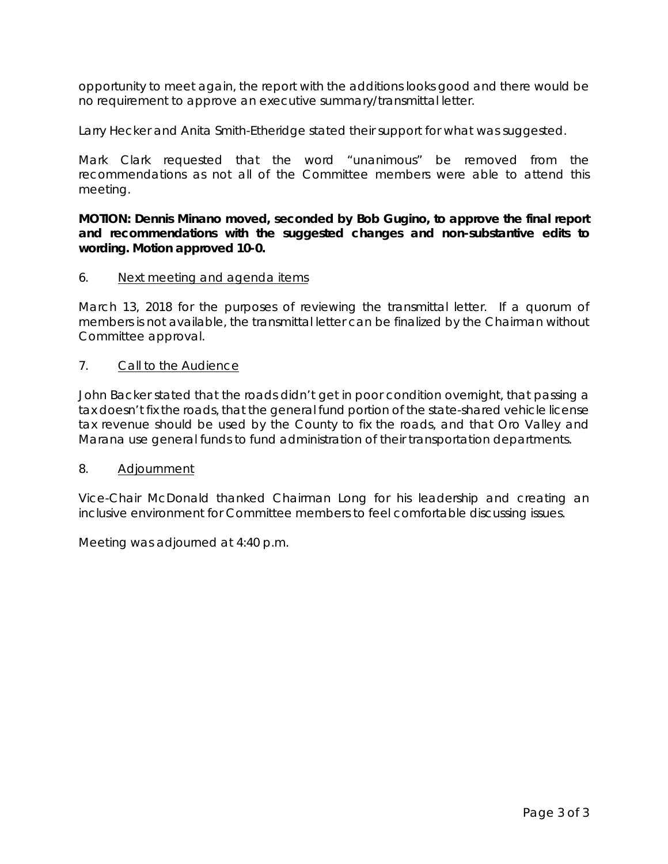opportunity to meet again, the report with the additions looks good and there would be no requirement to approve an executive summary/transmittal letter.

Larry Hecker and Anita Smith-Etheridge stated their support for what was suggested.

Mark Clark requested that the word "unanimous" be removed from the recommendations as not all of the Committee members were able to attend this meeting.

**MOTION: Dennis Minano moved, seconded by Bob Gugino, to approve the final report and recommendations with the suggested changes and non-substantive edits to wording. Motion approved 10-0.** 

# 6. Next meeting and agenda items

March 13, 2018 for the purposes of reviewing the transmittal letter. If a quorum of members is not available, the transmittal letter can be finalized by the Chairman without Committee approval.

# 7. Call to the Audience

John Backer stated that the roads didn't get in poor condition overnight, that passing a tax doesn't fix the roads, that the general fund portion of the state-shared vehicle license tax revenue should be used by the County to fix the roads, and that Oro Valley and Marana use general funds to fund administration of their transportation departments.

# 8. Adjournment

Vice-Chair McDonald thanked Chairman Long for his leadership and creating an inclusive environment for Committee members to feel comfortable discussing issues.

Meeting was adjourned at 4:40 p.m.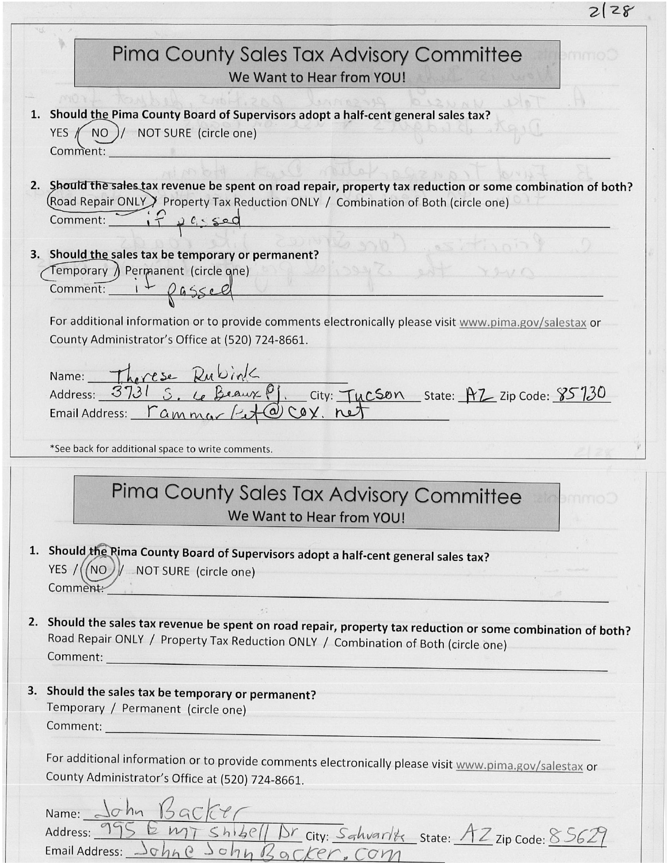| 2128                                                                                                                                                                                                                    |
|-------------------------------------------------------------------------------------------------------------------------------------------------------------------------------------------------------------------------|
| Pima County Sales Tax Advisory Committee<br>mm<br>We Want to Hear from YOU!                                                                                                                                             |
| 1. Should the Pima County Board of Supervisors adopt a half-cent general sales tax?<br>NO )/ NOT SURE (circle one)<br>YES /<br>Comment:                                                                                 |
| 2. Should the sales tax revenue be spent on road repair, property tax reduction or some combination of both?<br>(Road Repair ONLY) Property Tax Reduction ONLY / Combination of Both (circle one)<br>Comment: if passed |
| 3. Should the sales tax be temporary or permanent?<br>Temporary ) Permanent (circle qne)<br>$YY \cup Y \cap Y$<br>Comment: $1 + \rho$ assel                                                                             |
| For additional information or to provide comments electronically please visit www.pima.gov/salestax or<br>County Administrator's Office at (520) 724-8661.                                                              |
| Name: Therese Rubink<br>Address: 3731 S. Le Beaux P.J. City: Tycson State: PT Zip Code: 85730<br>Email Address: <u>rammar / de ay</u> , net                                                                             |
| *See back for additional space to write comments.                                                                                                                                                                       |
| Pima County Sales Tax Advisory Committee<br><b>UMMOL</b><br>We Want to Hear from YOU!                                                                                                                                   |
| 1. Should the Rima County Board of Supervisors adopt a half-cent general sales tax?<br>YES / ((NO) / NOT SURE (circle one)<br>Comment:                                                                                  |
| 2. Should the sales tax revenue be spent on road repair, property tax reduction or some combination of both?<br>Road Repair ONLY / Property Tax Reduction ONLY / Combination of Both (circle one)                       |
| 3. Should the sales tax be temporary or permanent?<br>Temporary / Permanent (circle one)                                                                                                                                |
| For additional information or to provide comments electronically please visit www.pima.gov/salestax or<br>County Administrator's Office at (520) 724-8661.                                                              |
| Name: John Backer<br>Address: 995 Emp shibell Dr city: Sahvarlik State: AZ zip Code: 85629<br>Email Address: Johne John Backer, Com                                                                                     |

 $\ddot{\phantom{0}}$